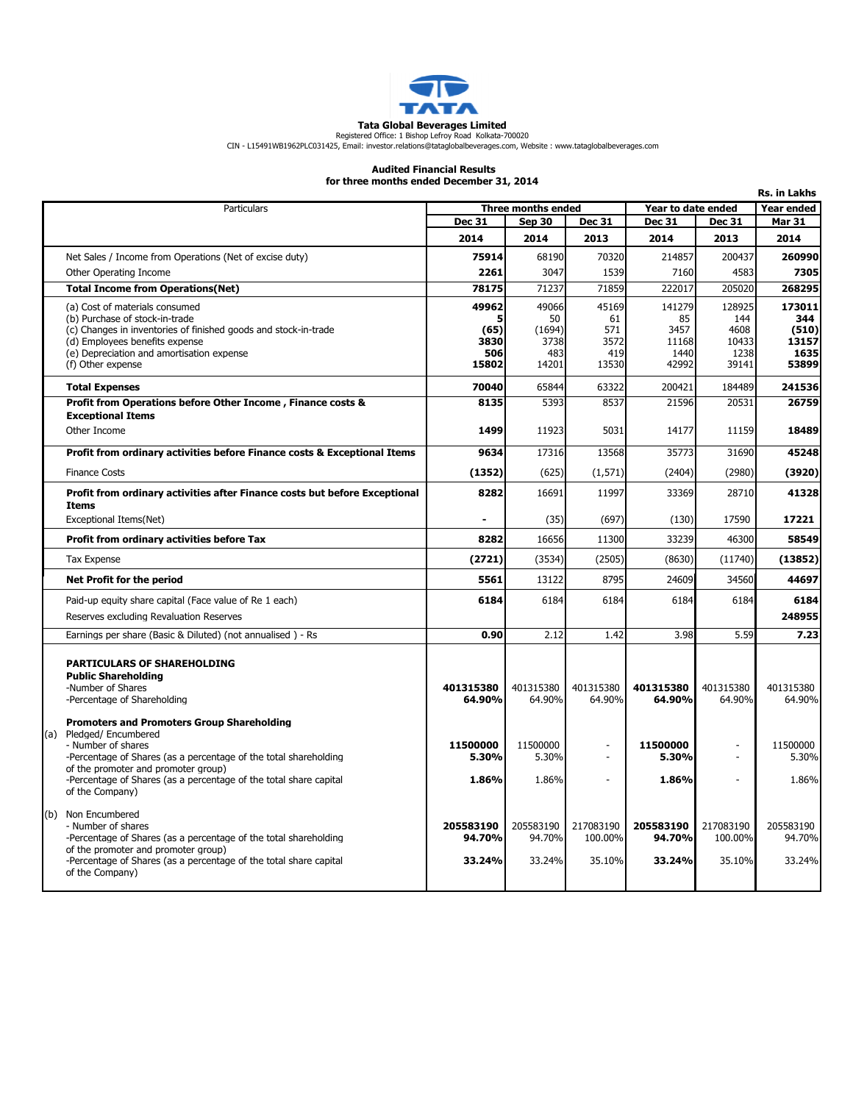

**Tata Global Beverages Limited**<br>Registered Office: 1 Bishop Lefroy Road Kolkata-700020<br>CIN - L15491WB1962PLC031425, Email: investor.relations@tataglobalbeverages.com, Website : www.tataglobalbeverages.com

## Audited Financial Results for three months ended December 31, 2014

| for three months enged becember 31, 2014<br>Rs. in Lakhs |                                                                                                                                                                                                                                                                                                      |                               |                               |                                |                                         |                                |                               |
|----------------------------------------------------------|------------------------------------------------------------------------------------------------------------------------------------------------------------------------------------------------------------------------------------------------------------------------------------------------------|-------------------------------|-------------------------------|--------------------------------|-----------------------------------------|--------------------------------|-------------------------------|
|                                                          | Particulars                                                                                                                                                                                                                                                                                          |                               | Three months ended            |                                | Year to date ended<br><b>Year ended</b> |                                |                               |
|                                                          |                                                                                                                                                                                                                                                                                                      | <b>Dec 31</b>                 | Sep 30                        | <b>Dec 31</b>                  | <b>Dec 31</b>                           | <b>Dec 31</b>                  | <b>Mar 31</b>                 |
|                                                          |                                                                                                                                                                                                                                                                                                      | 2014                          | 2014                          | 2013                           | 2014                                    | 2013                           | 2014                          |
|                                                          | Net Sales / Income from Operations (Net of excise duty)                                                                                                                                                                                                                                              | 75914                         | 68190                         | 70320                          | 214857                                  | 200437                         | 260990                        |
|                                                          | Other Operating Income                                                                                                                                                                                                                                                                               | 2261                          | 3047                          | 1539                           | 7160                                    | 4583                           | 7305                          |
|                                                          | <b>Total Income from Operations(Net)</b>                                                                                                                                                                                                                                                             | 78175                         | 71237                         | 71859                          | 222017                                  | 205020                         | 268295                        |
|                                                          | (a) Cost of materials consumed                                                                                                                                                                                                                                                                       | 49962                         | 49066                         | 45169                          | 141279                                  | 128925                         | 173011                        |
|                                                          | (b) Purchase of stock-in-trade                                                                                                                                                                                                                                                                       |                               | 50                            | 61                             | 85                                      | 144                            | 344                           |
|                                                          | (c) Changes in inventories of finished goods and stock-in-trade<br>(d) Employees benefits expense                                                                                                                                                                                                    | (65)<br>3830                  | (1694)<br>3738                | 571<br>3572                    | 3457<br>11168                           | 4608<br>10433                  | (510)<br>13157                |
|                                                          | (e) Depreciation and amortisation expense                                                                                                                                                                                                                                                            | 506                           | 483                           | 419                            | 1440                                    | 1238                           | 1635                          |
|                                                          | (f) Other expense                                                                                                                                                                                                                                                                                    | 15802                         | 14201                         | 13530                          | 42992                                   | 39141                          | 53899                         |
|                                                          | <b>Total Expenses</b>                                                                                                                                                                                                                                                                                | 70040                         | 65844                         | 63322                          | 200421                                  | 184489                         | 241536                        |
|                                                          | Profit from Operations before Other Income, Finance costs &                                                                                                                                                                                                                                          | 8135                          | 5393                          | 8537                           | 21596                                   | 20531                          | 26759                         |
|                                                          | <b>Exceptional Items</b><br>Other Income                                                                                                                                                                                                                                                             | 1499                          | 11923                         | 5031                           | 14177                                   | 11159                          | 18489                         |
|                                                          | Profit from ordinary activities before Finance costs & Exceptional Items                                                                                                                                                                                                                             | 9634                          | 17316                         | 13568                          | 35773                                   | 31690                          | 45248                         |
|                                                          | <b>Finance Costs</b>                                                                                                                                                                                                                                                                                 | (1352)                        | (625)                         | (1,571)                        | (2404)                                  | (2980)                         | (3920)                        |
|                                                          | Profit from ordinary activities after Finance costs but before Exceptional<br><b>Items</b>                                                                                                                                                                                                           | 8282                          | 16691                         | 11997                          | 33369                                   | 28710                          | 41328                         |
|                                                          | Exceptional Items(Net)                                                                                                                                                                                                                                                                               |                               | (35)                          | (697)                          | (130)                                   | 17590                          | 17221                         |
|                                                          | Profit from ordinary activities before Tax                                                                                                                                                                                                                                                           | 8282                          | 16656                         | 11300                          | 33239                                   | 46300                          | 58549                         |
|                                                          | <b>Tax Expense</b>                                                                                                                                                                                                                                                                                   | (2721)                        | (3534)                        | (2505)                         | (8630)                                  | (11740)                        | (13852)                       |
|                                                          | Net Profit for the period                                                                                                                                                                                                                                                                            | 5561                          | 13122                         | 8795                           | 24609                                   | 34560                          | 44697                         |
|                                                          | Paid-up equity share capital (Face value of Re 1 each)                                                                                                                                                                                                                                               | 6184                          | 6184                          | 6184                           | 6184                                    | 6184                           | 6184                          |
|                                                          | Reserves excluding Revaluation Reserves                                                                                                                                                                                                                                                              |                               |                               |                                |                                         |                                | 248955                        |
|                                                          |                                                                                                                                                                                                                                                                                                      |                               |                               |                                |                                         |                                |                               |
|                                                          | Earnings per share (Basic & Diluted) (not annualised) - Rs                                                                                                                                                                                                                                           | 0.90                          | 2.12                          | 1.42                           | 3.98                                    | 5.59                           | 7.23                          |
|                                                          | <b>PARTICULARS OF SHAREHOLDING</b><br><b>Public Shareholding</b><br>-Number of Shares<br>-Percentage of Shareholding                                                                                                                                                                                 | 401315380<br>64.90%           | 401315380<br>64.90%           | 401315380<br>64.90%            | 401315380<br>64.90%                     | 401315380<br>64.90%            | 401315380<br>64.90%           |
|                                                          | <b>Promoters and Promoters Group Shareholding</b><br>(a) Pledged/Encumbered<br>- Number of shares<br>-Percentage of Shares (as a percentage of the total shareholding<br>of the promoter and promoter group)<br>-Percentage of Shares (as a percentage of the total share capital<br>of the Company) | 11500000<br>5.30%<br>1.86%    | 11500000<br>5.30%<br>1.86%    | ÷                              | 11500000<br>5.30%<br>1.86%              |                                | 11500000<br>5.30%<br>1.86%    |
|                                                          | (b) Non Encumbered<br>- Number of shares<br>-Percentage of Shares (as a percentage of the total shareholding<br>of the promoter and promoter group)<br>-Percentage of Shares (as a percentage of the total share capital<br>of the Company)                                                          | 205583190<br>94.70%<br>33.24% | 205583190<br>94.70%<br>33.24% | 217083190<br>100.00%<br>35.10% | 205583190<br>94.70%<br>33.24%           | 217083190<br>100.00%<br>35.10% | 205583190<br>94.70%<br>33.24% |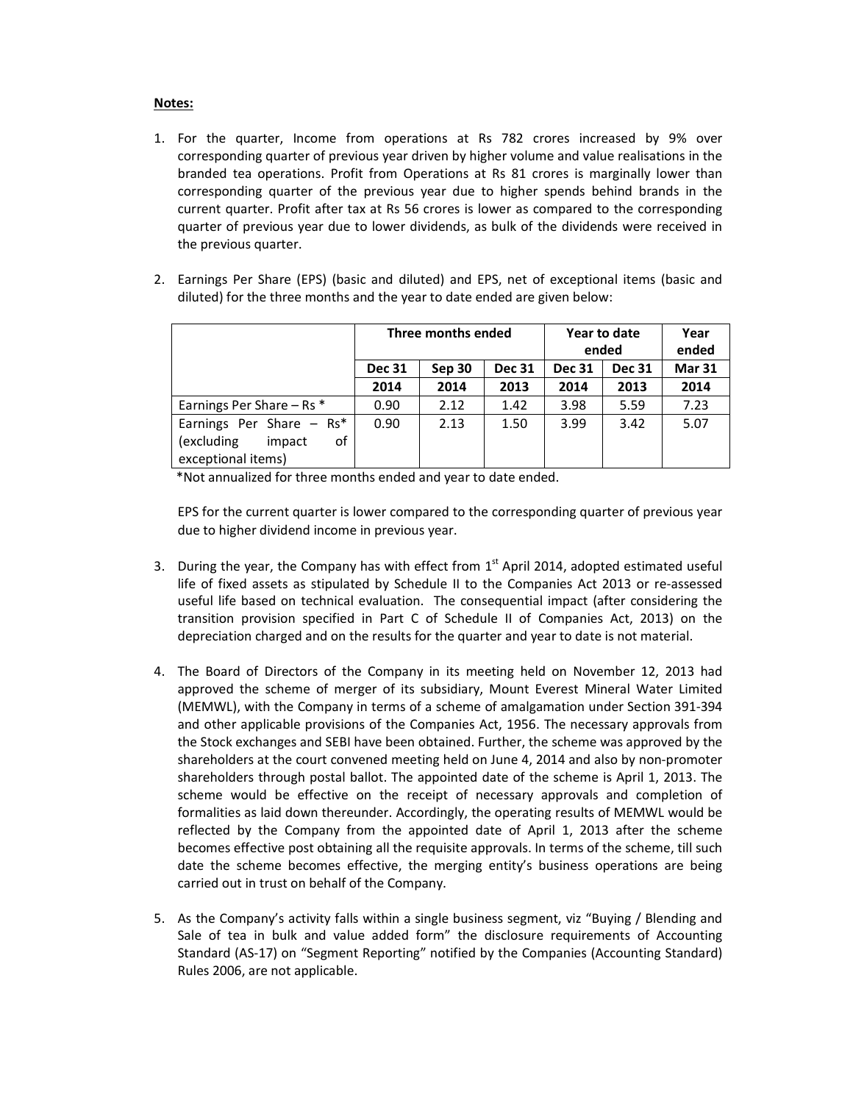## Notes:

- 1. For the quarter, Income from operations at Rs 782 crores increased by 9% over corresponding quarter of previous year driven by higher volume and value realisations in the branded tea operations. Profit from Operations at Rs 81 crores is marginally lower than corresponding quarter of the previous year due to higher spends behind brands in the current quarter. Profit after tax at Rs 56 crores is lower as compared to the corresponding quarter of previous year due to lower dividends, as bulk of the dividends were received in the previous quarter.
- 2. Earnings Per Share (EPS) (basic and diluted) and EPS, net of exceptional items (basic and diluted) for the three months and the year to date ended are given below:

|                               | Three months ended |        | Year to date  |               | Year          |               |
|-------------------------------|--------------------|--------|---------------|---------------|---------------|---------------|
|                               |                    |        |               | ended         | ended         |               |
|                               | <b>Dec 31</b>      | Sep 30 | <b>Dec 31</b> | <b>Dec 31</b> | <b>Dec 31</b> | <b>Mar 31</b> |
|                               | 2014               | 2014   | 2013          | 2014          | 2013          | 2014          |
| Earnings Per Share $-$ Rs $*$ | 0.90               | 2.12   | 1.42          | 3.98          | 5.59          | 7.23          |
| Earnings Per Share $-$ Rs*    | 0.90               | 2.13   | 1.50          | 3.99          | 3.42          | 5.07          |
| (excluding<br>impact<br>οf    |                    |        |               |               |               |               |
| exceptional items)            |                    |        |               |               |               |               |

\*Not annualized for three months ended and year to date ended.

EPS for the current quarter is lower compared to the corresponding quarter of previous year due to higher dividend income in previous year.

- 3. During the year, the Company has with effect from  $1<sup>st</sup>$  April 2014, adopted estimated useful life of fixed assets as stipulated by Schedule II to the Companies Act 2013 or re-assessed useful life based on technical evaluation. The consequential impact (after considering the transition provision specified in Part C of Schedule II of Companies Act, 2013) on the depreciation charged and on the results for the quarter and year to date is not material.
- 4. The Board of Directors of the Company in its meeting held on November 12, 2013 had approved the scheme of merger of its subsidiary, Mount Everest Mineral Water Limited (MEMWL), with the Company in terms of a scheme of amalgamation under Section 391-394 and other applicable provisions of the Companies Act, 1956. The necessary approvals from the Stock exchanges and SEBI have been obtained. Further, the scheme was approved by the shareholders at the court convened meeting held on June 4, 2014 and also by non-promoter shareholders through postal ballot. The appointed date of the scheme is April 1, 2013. The scheme would be effective on the receipt of necessary approvals and completion of formalities as laid down thereunder. Accordingly, the operating results of MEMWL would be reflected by the Company from the appointed date of April 1, 2013 after the scheme becomes effective post obtaining all the requisite approvals. In terms of the scheme, till such date the scheme becomes effective, the merging entity's business operations are being carried out in trust on behalf of the Company.
- 5. As the Company's activity falls within a single business segment, viz "Buying / Blending and Sale of tea in bulk and value added form" the disclosure requirements of Accounting Standard (AS-17) on "Segment Reporting" notified by the Companies (Accounting Standard) Rules 2006, are not applicable.